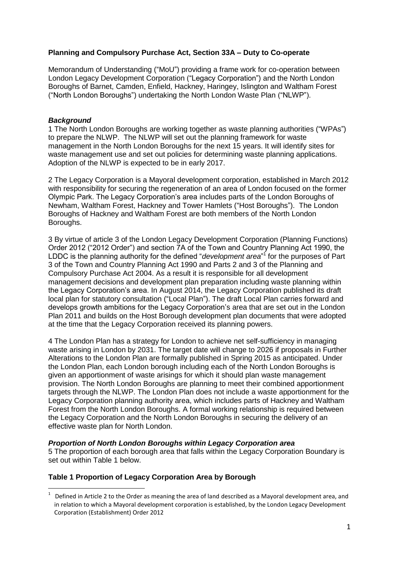# **Planning and Compulsory Purchase Act, Section 33A – Duty to Co-operate**

Memorandum of Understanding ("MoU") providing a frame work for co-operation between London Legacy Development Corporation ("Legacy Corporation") and the North London Boroughs of Barnet, Camden, Enfield, Hackney, Haringey, Islington and Waltham Forest ("North London Boroughs") undertaking the North London Waste Plan ("NLWP").

#### *Background*

1

1 The North London Boroughs are working together as waste planning authorities ("WPAs") to prepare the NLWP. The NLWP will set out the planning framework for waste management in the North London Boroughs for the next 15 years. It will identify sites for waste management use and set out policies for determining waste planning applications. Adoption of the NLWP is expected to be in early 2017.

2 The Legacy Corporation is a Mayoral development corporation, established in March 2012 with responsibility for securing the regeneration of an area of London focused on the former Olympic Park. The Legacy Corporation's area includes parts of the London Boroughs of Newham, Waltham Forest, Hackney and Tower Hamlets ("Host Boroughs"). The London Boroughs of Hackney and Waltham Forest are both members of the North London Boroughs.

3 By virtue of article 3 of the London Legacy Development Corporation (Planning Functions) Order 2012 ("2012 Order") and section 7A of the Town and Country Planning Act 1990, the LDDC is the planning authority for the defined "*development area*"<sup>1</sup> for the purposes of Part 3 of the Town and Country Planning Act 1990 and Parts 2 and 3 of the Planning and Compulsory Purchase Act 2004. As a result it is responsible for all development management decisions and development plan preparation including waste planning within the Legacy Corporation's area. In August 2014, the Legacy Corporation published its draft local plan for statutory consultation ("Local Plan"). The draft Local Plan carries forward and develops growth ambitions for the Legacy Corporation's area that are set out in the London Plan 2011 and builds on the Host Borough development plan documents that were adopted at the time that the Legacy Corporation received its planning powers.

4 The London Plan has a strategy for London to achieve net self-sufficiency in managing waste arising in London by 2031. The target date will change to 2026 if proposals in Further Alterations to the London Plan are formally published in Spring 2015 as anticipated. Under the London Plan, each London borough including each of the North London Boroughs is given an apportionment of waste arisings for which it should plan waste management provision. The North London Boroughs are planning to meet their combined apportionment targets through the NLWP. The London Plan does not include a waste apportionment for the Legacy Corporation planning authority area, which includes parts of Hackney and Waltham Forest from the North London Boroughs. A formal working relationship is required between the Legacy Corporation and the North London Boroughs in securing the delivery of an effective waste plan for North London.

## *Proportion of North London Boroughs within Legacy Corporation area*

5 The proportion of each borough area that falls within the Legacy Corporation Boundary is set out within Table 1 below.

## **Table 1 Proportion of Legacy Corporation Area by Borough**

<sup>1</sup> Defined in Article 2 to the Order as meaning the area of land described as a Mayoral development area, and in relation to which a Mayoral development corporation is established, by the London Legacy Development Corporation (Establishment) Order 2012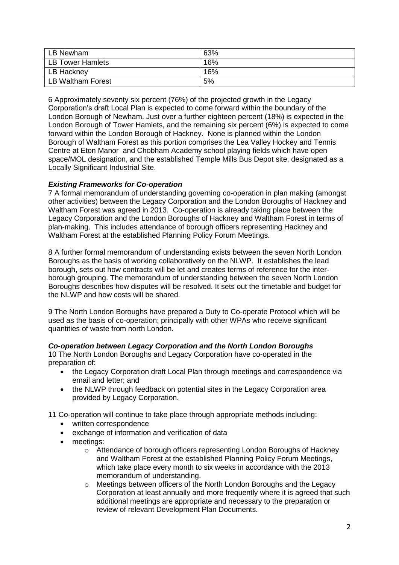| LB Newham               | 63% |
|-------------------------|-----|
| <b>LB Tower Hamlets</b> | 16% |
| LB Hackney              | 16% |
| LB Waltham Forest       | 5%  |

6 Approximately seventy six percent (76%) of the projected growth in the Legacy Corporation's draft Local Plan is expected to come forward within the boundary of the London Borough of Newham. Just over a further eighteen percent (18%) is expected in the London Borough of Tower Hamlets, and the remaining six percent (6%) is expected to come forward within the London Borough of Hackney. None is planned within the London Borough of Waltham Forest as this portion comprises the Lea Valley Hockey and Tennis Centre at Eton Manor and Chobham Academy school playing fields which have open space/MOL designation, and the established Temple Mills Bus Depot site, designated as a Locally Significant Industrial Site.

# *Existing Frameworks for Co-operation*

7 A formal memorandum of understanding governing co-operation in plan making (amongst other activities) between the Legacy Corporation and the London Boroughs of Hackney and Waltham Forest was agreed in 2013. Co-operation is already taking place between the Legacy Corporation and the London Boroughs of Hackney and Waltham Forest in terms of plan-making. This includes attendance of borough officers representing Hackney and Waltham Forest at the established Planning Policy Forum Meetings.

8 A further formal memorandum of understanding exists between the seven North London Boroughs as the basis of working collaboratively on the NLWP. It establishes the lead borough, sets out how contracts will be let and creates terms of reference for the interborough grouping. The memorandum of understanding between the seven North London Boroughs describes how disputes will be resolved. It sets out the timetable and budget for the NLWP and how costs will be shared.

9 The North London Boroughs have prepared a Duty to Co-operate Protocol which will be used as the basis of co-operation; principally with other WPAs who receive significant quantities of waste from north London.

## *Co-operation between Legacy Corporation and the North London Boroughs*

10 The North London Boroughs and Legacy Corporation have co-operated in the preparation of:

- the Legacy Corporation draft Local Plan through meetings and correspondence via email and letter; and
- the NLWP through feedback on potential sites in the Legacy Corporation area provided by Legacy Corporation.

11 Co-operation will continue to take place through appropriate methods including:

- written correspondence
- exchange of information and verification of data
- meetings:
	- o Attendance of borough officers representing London Boroughs of Hackney and Waltham Forest at the established Planning Policy Forum Meetings, which take place every month to six weeks in accordance with the 2013 memorandum of understanding.
	- o Meetings between officers of the North London Boroughs and the Legacy Corporation at least annually and more frequently where it is agreed that such additional meetings are appropriate and necessary to the preparation or review of relevant Development Plan Documents.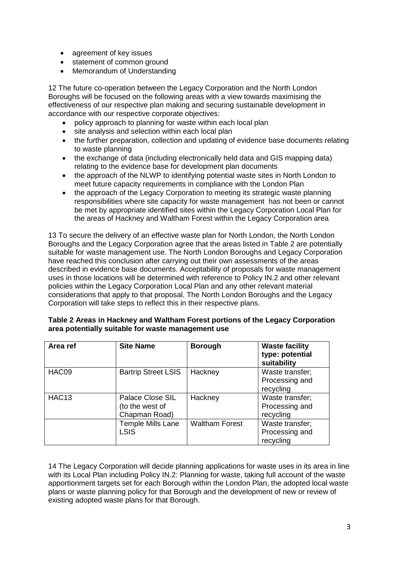- agreement of key issues
- statement of common ground
- Memorandum of Understanding

12 The future co-operation between the Legacy Corporation and the North London Boroughs will be focused on the following areas with a view towards maximising the effectiveness of our respective plan making and securing sustainable development in accordance with our respective corporate objectives:

- policy approach to planning for waste within each local plan
- site analysis and selection within each local plan
- the further preparation, collection and updating of evidence base documents relating to waste planning
- the exchange of data (including electronically held data and GIS mapping data) relating to the evidence base for development plan documents
- the approach of the NLWP to identifying potential waste sites in North London to meet future capacity requirements in compliance with the London Plan
- the approach of the Legacy Corporation to meeting its strategic waste planning responsibilities where site capacity for waste management has not been or cannot be met by appropriate identified sites within the Legacy Corporation Local Plan for the areas of Hackney and Waltham Forest within the Legacy Corporation area

13 To secure the delivery of an effective waste plan for North London, the North London Boroughs and the Legacy Corporation agree that the areas listed in Table 2 are potentially suitable for waste management use. The North London Boroughs and Legacy Corporation have reached this conclusion after carrying out their own assessments of the areas described in evidence base documents. Acceptability of proposals for waste management uses in those locations will be determined with reference to Policy IN.2 and other relevant policies within the Legacy Corporation Local Plan and any other relevant material considerations that apply to that proposal. The North London Boroughs and the Legacy Corporation will take steps to reflect this in their respective plans.

| Area ref          | <b>Site Name</b>                                     | <b>Borough</b>        | <b>Waste facility</b><br>type: potential<br>suitability |
|-------------------|------------------------------------------------------|-----------------------|---------------------------------------------------------|
| HAC09             | <b>Bartrip Street LSIS</b>                           | Hackney               | Waste transfer;<br>Processing and<br>recycling          |
| HAC <sub>13</sub> | Palace Close SIL<br>(to the west of<br>Chapman Road) | Hackney               | Waste transfer;<br>Processing and<br>recycling          |
|                   | <b>Temple Mills Lane</b><br><b>LSIS</b>              | <b>Waltham Forest</b> | Waste transfer;<br>Processing and<br>recycling          |

| Table 2 Areas in Hackney and Waltham Forest portions of the Legacy Corporation |
|--------------------------------------------------------------------------------|
| area potentially suitable for waste management use                             |

14 The Legacy Corporation will decide planning applications for waste uses in its area in line with its Local Plan including Policy IN.2: Planning for waste, taking full account of the waste apportionment targets set for each Borough within the London Plan, the adopted local waste plans or waste planning policy for that Borough and the development of new or review of existing adopted waste plans for that Borough.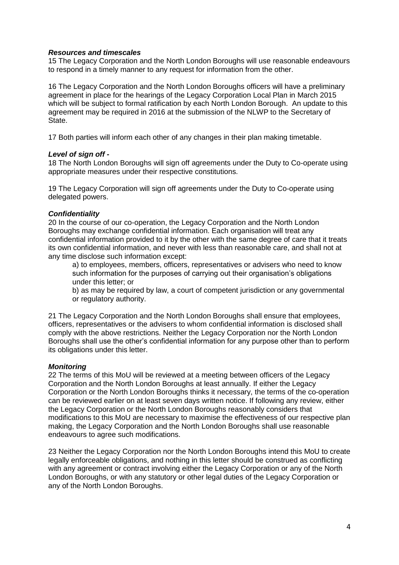#### *Resources and timescales*

15 The Legacy Corporation and the North London Boroughs will use reasonable endeavours to respond in a timely manner to any request for information from the other.

16 The Legacy Corporation and the North London Boroughs officers will have a preliminary agreement in place for the hearings of the Legacy Corporation Local Plan in March 2015 which will be subject to formal ratification by each North London Borough. An update to this agreement may be required in 2016 at the submission of the NLWP to the Secretary of State.

17 Both parties will inform each other of any changes in their plan making timetable.

#### *Level of sign off -*

18 The North London Boroughs will sign off agreements under the Duty to Co-operate using appropriate measures under their respective constitutions.

19 The Legacy Corporation will sign off agreements under the Duty to Co-operate using delegated powers.

#### *Confidentiality*

20 In the course of our co-operation, the Legacy Corporation and the North London Boroughs may exchange confidential information. Each organisation will treat any confidential information provided to it by the other with the same degree of care that it treats its own confidential information, and never with less than reasonable care, and shall not at any time disclose such information except:

a) to employees, members, officers, representatives or advisers who need to know such information for the purposes of carrying out their organisation's obligations under this letter; or

b) as may be required by law, a court of competent jurisdiction or any governmental or regulatory authority.

21 The Legacy Corporation and the North London Boroughs shall ensure that employees, officers, representatives or the advisers to whom confidential information is disclosed shall comply with the above restrictions. Neither the Legacy Corporation nor the North London Boroughs shall use the other's confidential information for any purpose other than to perform its obligations under this letter.

## *Monitoring*

22 The terms of this MoU will be reviewed at a meeting between officers of the Legacy Corporation and the North London Boroughs at least annually. If either the Legacy Corporation or the North London Boroughs thinks it necessary, the terms of the co-operation can be reviewed earlier on at least seven days written notice. If following any review, either the Legacy Corporation or the North London Boroughs reasonably considers that modifications to this MoU are necessary to maximise the effectiveness of our respective plan making, the Legacy Corporation and the North London Boroughs shall use reasonable endeavours to agree such modifications.

23 Neither the Legacy Corporation nor the North London Boroughs intend this MoU to create legally enforceable obligations, and nothing in this letter should be construed as conflicting with any agreement or contract involving either the Legacy Corporation or any of the North London Boroughs, or with any statutory or other legal duties of the Legacy Corporation or any of the North London Boroughs.